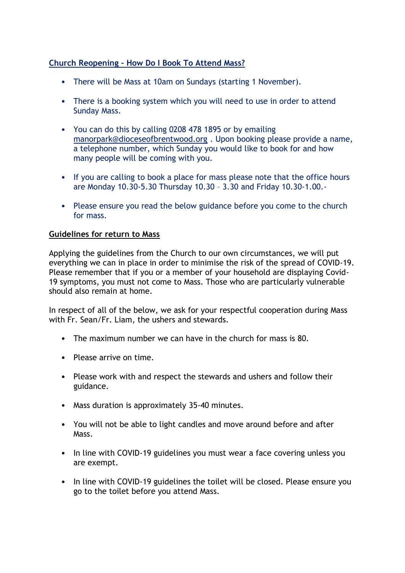# **Church Reopening – How Do I Book To Attend Mass?**

- There will be Mass at 10am on Sundays (starting 1 November).
- There is a booking system which you will need to use in order to attend Sunday Mass.
- You can do this by calling 0208 478 1895 or by emailing [manorpark@dioceseofbrentwood.org](about:blank) . Upon booking please provide a name, a telephone number, which Sunday you would like to book for and how many people will be coming with you.
- If you are calling to book a place for mass please note that the office hours are Monday 10.30-5.30 Thursday 10.30 – 3.30 and Friday 10.30-1.00.-
- Please ensure you read the below guidance before you come to the church for mass.

### **Guidelines for return to Mass**

Applying the guidelines from the Church to our own circumstances, we will put everything we can in place in order to minimise the risk of the spread of COVID-19. Please remember that if you or a member of your household are displaying Covid-19 symptoms, you must not come to Mass. Those who are particularly vulnerable should also remain at home.

In respect of all of the below, we ask for your respectful cooperation during Mass with Fr. Sean/Fr. Liam, the ushers and stewards.

- The maximum number we can have in the church for mass is 80.
- Please arrive on time.
- Please work with and respect the stewards and ushers and follow their guidance.
- Mass duration is approximately 35-40 minutes.
- You will not be able to light candles and move around before and after Mass.
- In line with COVID-19 guidelines you must wear a face covering unless you are exempt.
- In line with COVID-19 guidelines the toilet will be closed. Please ensure you go to the toilet before you attend Mass.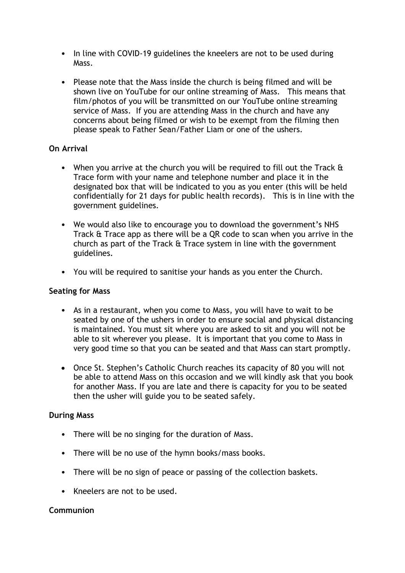- In line with COVID-19 guidelines the kneelers are not to be used during Mass.
- Please note that the Mass inside the church is being filmed and will be shown live on YouTube for our online streaming of Mass. This means that film/photos of you will be transmitted on our YouTube online streaming service of Mass. If you are attending Mass in the church and have any concerns about being filmed or wish to be exempt from the filming then please speak to Father Sean/Father Liam or one of the ushers.

# **On Arrival**

- When you arrive at the church you will be required to fill out the Track & Trace form with your name and telephone number and place it in the designated box that will be indicated to you as you enter (this will be held confidentially for 21 days for public health records). This is in line with the government guidelines.
- We would also like to encourage you to download the government's NHS Track & Trace app as there will be a QR code to scan when you arrive in the church as part of the Track & Trace system in line with the government guidelines.
- You will be required to sanitise your hands as you enter the Church.

#### **Seating for Mass**

- As in a restaurant, when you come to Mass, you will have to wait to be seated by one of the ushers in order to ensure social and physical distancing is maintained. You must sit where you are asked to sit and you will not be able to sit wherever you please. It is important that you come to Mass in very good time so that you can be seated and that Mass can start promptly.
- Once St. Stephen's Catholic Church reaches its capacity of 80 you will not be able to attend Mass on this occasion and we will kindly ask that you book for another Mass. If you are late and there is capacity for you to be seated then the usher will guide you to be seated safely.

#### **During Mass**

- There will be no singing for the duration of Mass.
- There will be no use of the hymn books/mass books.
- There will be no sign of peace or passing of the collection baskets.
- Kneelers are not to be used.

#### **Communion**